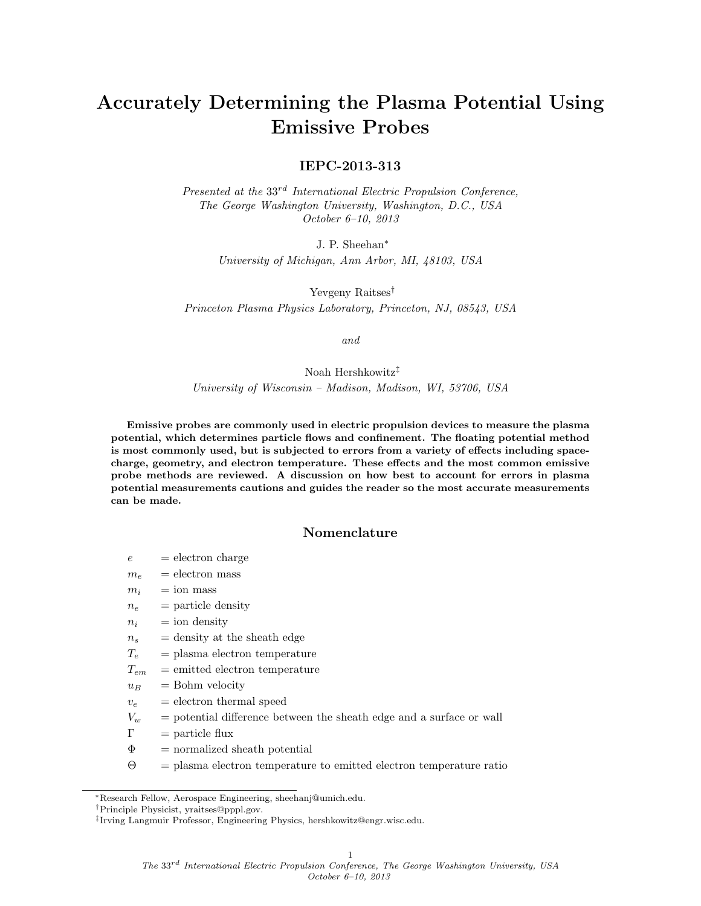# Accurately Determining the Plasma Potential Using Emissive Probes

# IEPC-2013-313

Presented at the  $33^{rd}$  International Electric Propulsion Conference, The George Washington University, Washington, D.C., USA October 6–10, 2013

J. P. Sheehan<sup>∗</sup>

University of Michigan, Ann Arbor, MI, 48103, USA

Yevgeny Raitses† Princeton Plasma Physics Laboratory, Princeton, NJ, 08543, USA

and

# Noah Hershkowitz‡ University of Wisconsin – Madison, Madison, WI, 53706, USA

Emissive probes are commonly used in electric propulsion devices to measure the plasma potential, which determines particle flows and confinement. The floating potential method is most commonly used, but is subjected to errors from a variety of effects including spacecharge, geometry, and electron temperature. These effects and the most common emissive probe methods are reviewed. A discussion on how best to account for errors in plasma potential measurements cautions and guides the reader so the most accurate measurements can be made.

# Nomenclature

- $e$  = electron charge
- $m_e$  = electron mass
- $m_i$  = ion mass
- $n_e$  = particle density
- $n_i$  = ion density
- $n_s =$  density at the sheath edge
- $T_e$  = plasma electron temperature
- $T_{em}$  = emitted electron temperature
- $u_B$  = Bohm velocity
- $v_e$  = electron thermal speed
- $V_w$  = potential difference between the sheath edge and a surface or wall
- $\Gamma$  = particle flux
- $\Phi$  = normalized sheath potential
- $\Theta$  = plasma electron temperature to emitted electron temperature ratio

<sup>∗</sup>Research Fellow, Aerospace Engineering, sheehanj@umich.edu.

<sup>†</sup>Principle Physicist, yraitses@pppl.gov.

<sup>‡</sup> Irving Langmuir Professor, Engineering Physics, hershkowitz@engr.wisc.edu.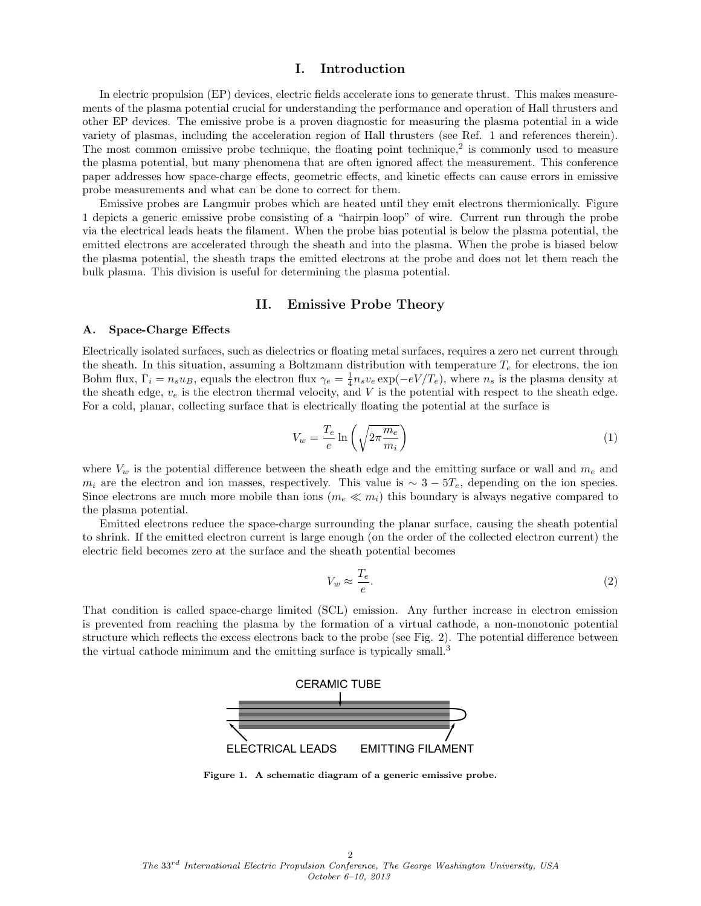# I. Introduction

In electric propulsion (EP) devices, electric fields accelerate ions to generate thrust. This makes measurements of the plasma potential crucial for understanding the performance and operation of Hall thrusters and other EP devices. The emissive probe is a proven diagnostic for measuring the plasma potential in a wide variety of plasmas, including the acceleration region of Hall thrusters (see Ref. 1 and references therein). The most common emissive probe technique, the floating point technique,<sup>2</sup> is commonly used to measure the plasma potential, but many phenomena that are often ignored affect the measurement. This conference paper addresses how space-charge effects, geometric effects, and kinetic effects can cause errors in emissive probe measurements and what can be done to correct for them.

Emissive probes are Langmuir probes which are heated until they emit electrons thermionically. Figure 1 depicts a generic emissive probe consisting of a "hairpin loop" of wire. Current run through the probe via the electrical leads heats the filament. When the probe bias potential is below the plasma potential, the emitted electrons are accelerated through the sheath and into the plasma. When the probe is biased below the plasma potential, the sheath traps the emitted electrons at the probe and does not let them reach the bulk plasma. This division is useful for determining the plasma potential.

## II. Emissive Probe Theory

#### A. Space-Charge Effects

Electrically isolated surfaces, such as dielectrics or floating metal surfaces, requires a zero net current through the sheath. In this situation, assuming a Boltzmann distribution with temperature  $T_e$  for electrons, the ion Bohm flux,  $\Gamma_i = n_s u_B$ , equals the electron flux  $\gamma_e = \frac{1}{4} n_s v_e \exp(-eV/T_e)$ , where  $n_s$  is the plasma density at the sheath edge,  $v_e$  is the electron thermal velocity, and V is the potential with respect to the sheath edge. For a cold, planar, collecting surface that is electrically floating the potential at the surface is

$$
V_w = \frac{T_e}{e} \ln\left(\sqrt{2\pi \frac{m_e}{m_i}}\right) \tag{1}
$$

where  $V_w$  is the potential difference between the sheath edge and the emitting surface or wall and  $m_e$  and  $m_i$  are the electron and ion masses, respectively. This value is  $\sim 3 - 5T_e$ , depending on the ion species. Since electrons are much more mobile than ions  $(m_e \ll m_i)$  this boundary is always negative compared to the plasma potential.

Emitted electrons reduce the space-charge surrounding the planar surface, causing the sheath potential to shrink. If the emitted electron current is large enough (on the order of the collected electron current) the electric field becomes zero at the surface and the sheath potential becomes

$$
V_w \approx \frac{T_e}{e}.\tag{2}
$$

That condition is called space-charge limited (SCL) emission. Any further increase in electron emission is prevented from reaching the plasma by the formation of a virtual cathode, a non-monotonic potential structure which reflects the excess electrons back to the probe (see Fig. 2). The potential difference between the virtual cathode minimum and the emitting surface is typically small.<sup>3</sup>



Figure 1. A schematic diagram of a generic emissive probe.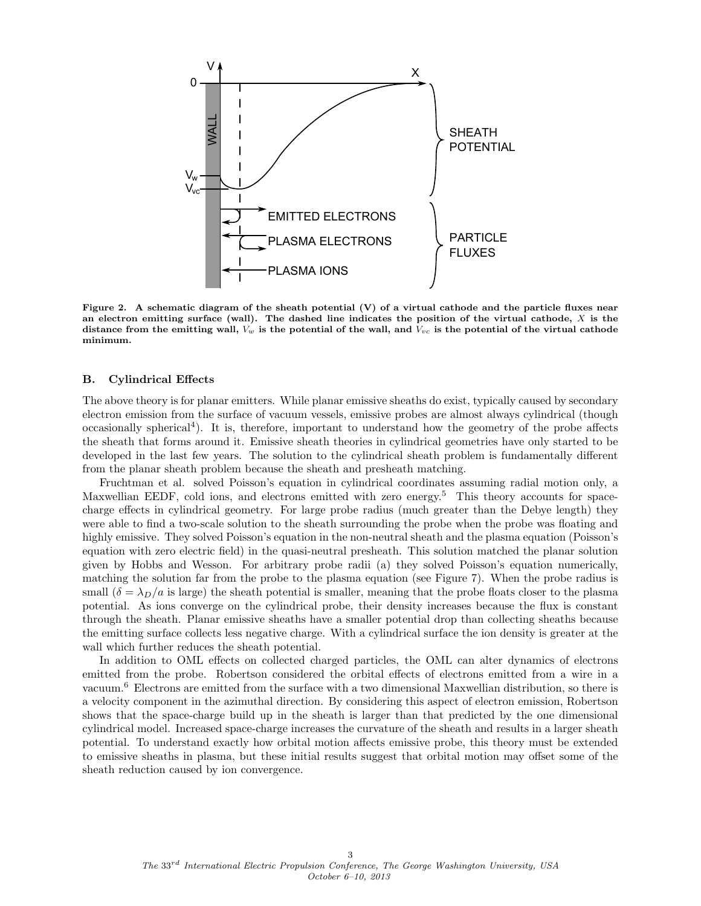

Figure 2. A schematic diagram of the sheath potential (V) of a virtual cathode and the particle fluxes near an electron emitting surface (wall). The dashed line indicates the position of the virtual cathode,  $X$  is the distance from the emitting wall,  $V_w$  is the potential of the wall, and  $V_{vc}$  is the potential of the virtual cathode minimum.

#### B. Cylindrical Effects

The above theory is for planar emitters. While planar emissive sheaths do exist, typically caused by secondary electron emission from the surface of vacuum vessels, emissive probes are almost always cylindrical (though occasionally spherical<sup>4</sup>). It is, therefore, important to understand how the geometry of the probe affects the sheath that forms around it. Emissive sheath theories in cylindrical geometries have only started to be developed in the last few years. The solution to the cylindrical sheath problem is fundamentally different from the planar sheath problem because the sheath and presheath matching.

Fruchtman et al. solved Poisson's equation in cylindrical coordinates assuming radial motion only, a Maxwellian EEDF, cold ions, and electrons emitted with zero energy.<sup>5</sup> This theory accounts for spacecharge effects in cylindrical geometry. For large probe radius (much greater than the Debye length) they were able to find a two-scale solution to the sheath surrounding the probe when the probe was floating and highly emissive. They solved Poisson's equation in the non-neutral sheath and the plasma equation (Poisson's equation with zero electric field) in the quasi-neutral presheath. This solution matched the planar solution given by Hobbs and Wesson. For arbitrary probe radii (a) they solved Poisson's equation numerically, matching the solution far from the probe to the plasma equation (see Figure 7). When the probe radius is small  $(\delta = \lambda_D/a$  is large) the sheath potential is smaller, meaning that the probe floats closer to the plasma potential. As ions converge on the cylindrical probe, their density increases because the flux is constant through the sheath. Planar emissive sheaths have a smaller potential drop than collecting sheaths because the emitting surface collects less negative charge. With a cylindrical surface the ion density is greater at the wall which further reduces the sheath potential.

In addition to OML effects on collected charged particles, the OML can alter dynamics of electrons emitted from the probe. Robertson considered the orbital effects of electrons emitted from a wire in a vacuum.<sup>6</sup> Electrons are emitted from the surface with a two dimensional Maxwellian distribution, so there is a velocity component in the azimuthal direction. By considering this aspect of electron emission, Robertson shows that the space-charge build up in the sheath is larger than that predicted by the one dimensional cylindrical model. Increased space-charge increases the curvature of the sheath and results in a larger sheath potential. To understand exactly how orbital motion affects emissive probe, this theory must be extended to emissive sheaths in plasma, but these initial results suggest that orbital motion may offset some of the sheath reduction caused by ion convergence.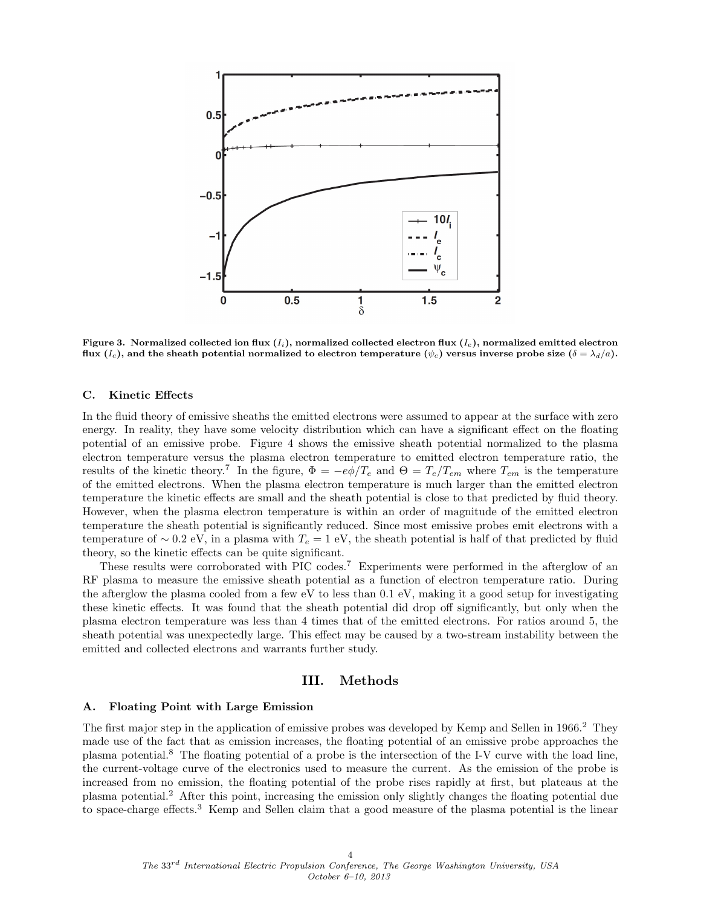

Figure 3. Normalized collected ion flux  $(I_i)$ , normalized collected electron flux  $(I_e)$ , normalized emitted electron flux  $(I_c)$ , and the sheath potential normalized to electron temperature  $(\psi_c)$  versus inverse probe size  $(\delta = \lambda_d/a)$ .

### C. Kinetic Effects

In the fluid theory of emissive sheaths the emitted electrons were assumed to appear at the surface with zero energy. In reality, they have some velocity distribution which can have a significant effect on the floating potential of an emissive probe. Figure 4 shows the emissive sheath potential normalized to the plasma electron temperature versus the plasma electron temperature to emitted electron temperature ratio, the results of the kinetic theory.<sup>7</sup> In the figure,  $\Phi = -e\phi/T_e$  and  $\Theta = T_e/T_{em}$  where  $T_{em}$  is the temperature of the emitted electrons. When the plasma electron temperature is much larger than the emitted electron temperature the kinetic effects are small and the sheath potential is close to that predicted by fluid theory. However, when the plasma electron temperature is within an order of magnitude of the emitted electron temperature the sheath potential is significantly reduced. Since most emissive probes emit electrons with a temperature of  $\sim 0.2$  eV, in a plasma with  $T_e = 1$  eV, the sheath potential is half of that predicted by fluid theory, so the kinetic effects can be quite significant.

These results were corroborated with PIC codes.<sup>7</sup> Experiments were performed in the afterglow of an RF plasma to measure the emissive sheath potential as a function of electron temperature ratio. During the afterglow the plasma cooled from a few eV to less than 0.1 eV, making it a good setup for investigating these kinetic effects. It was found that the sheath potential did drop off significantly, but only when the plasma electron temperature was less than 4 times that of the emitted electrons. For ratios around 5, the sheath potential was unexpectedly large. This effect may be caused by a two-stream instability between the emitted and collected electrons and warrants further study.

## III. Methods

#### A. Floating Point with Large Emission

The first major step in the application of emissive probes was developed by Kemp and Sellen in 1966.<sup>2</sup> They made use of the fact that as emission increases, the floating potential of an emissive probe approaches the plasma potential.<sup>8</sup> The floating potential of a probe is the intersection of the I-V curve with the load line, the current-voltage curve of the electronics used to measure the current. As the emission of the probe is increased from no emission, the floating potential of the probe rises rapidly at first, but plateaus at the plasma potential.<sup>2</sup> After this point, increasing the emission only slightly changes the floating potential due to space-charge effects.<sup>3</sup> Kemp and Sellen claim that a good measure of the plasma potential is the linear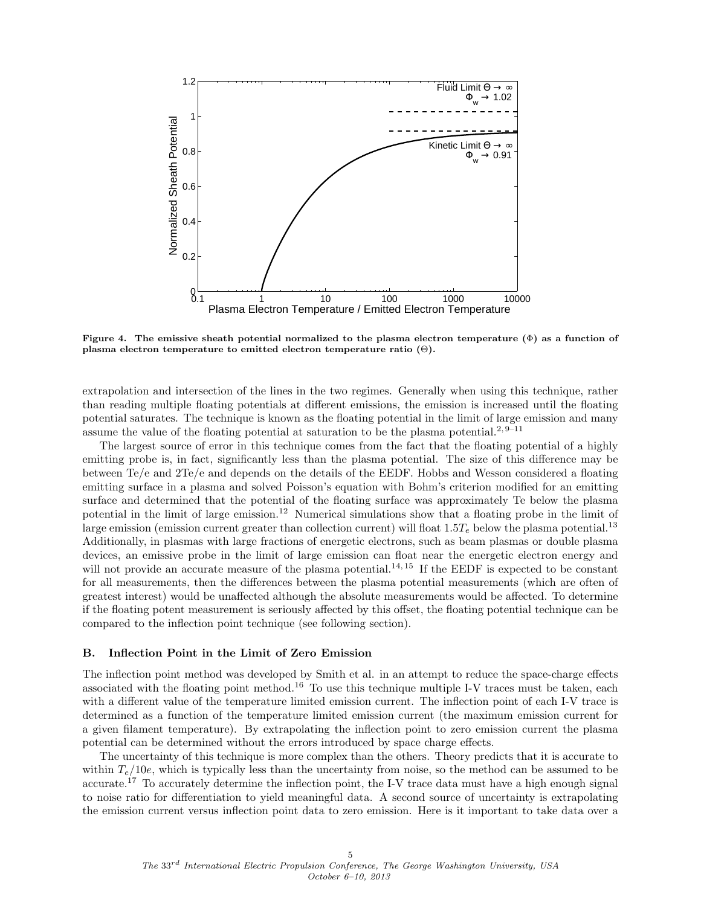

Figure 4. The emissive sheath potential normalized to the plasma electron temperature  $(\Phi)$  as a function of plasma electron temperature to emitted electron temperature ratio (Θ).

extrapolation and intersection of the lines in the two regimes. Generally when using this technique, rather than reading multiple floating potentials at different emissions, the emission is increased until the floating potential saturates. The technique is known as the floating potential in the limit of large emission and many assume the value of the floating potential at saturation to be the plasma potential.<sup>2, 9–11</sup>

The largest source of error in this technique comes from the fact that the floating potential of a highly emitting probe is, in fact, significantly less than the plasma potential. The size of this difference may be between Te/e and 2Te/e and depends on the details of the EEDF. Hobbs and Wesson considered a floating emitting surface in a plasma and solved Poisson's equation with Bohm's criterion modified for an emitting surface and determined that the potential of the floating surface was approximately Te below the plasma potential in the limit of large emission.<sup>12</sup> Numerical simulations show that a floating probe in the limit of large emission (emission current greater than collection current) will float  $1.5T_e$  below the plasma potential.<sup>13</sup> Additionally, in plasmas with large fractions of energetic electrons, such as beam plasmas or double plasma devices, an emissive probe in the limit of large emission can float near the energetic electron energy and will not provide an accurate measure of the plasma potential.<sup>14, 15</sup> If the EEDF is expected to be constant for all measurements, then the differences between the plasma potential measurements (which are often of greatest interest) would be unaffected although the absolute measurements would be affected. To determine if the floating potent measurement is seriously affected by this offset, the floating potential technique can be compared to the inflection point technique (see following section).

#### B. Inflection Point in the Limit of Zero Emission

The inflection point method was developed by Smith et al. in an attempt to reduce the space-charge effects associated with the floating point method.<sup>16</sup> To use this technique multiple I-V traces must be taken, each with a different value of the temperature limited emission current. The inflection point of each I-V trace is determined as a function of the temperature limited emission current (the maximum emission current for a given filament temperature). By extrapolating the inflection point to zero emission current the plasma potential can be determined without the errors introduced by space charge effects.

The uncertainty of this technique is more complex than the others. Theory predicts that it is accurate to within  $T_e/10e$ , which is typically less than the uncertainty from noise, so the method can be assumed to be accurate.<sup>17</sup> To accurately determine the inflection point, the I-V trace data must have a high enough signal to noise ratio for differentiation to yield meaningful data. A second source of uncertainty is extrapolating the emission current versus inflection point data to zero emission. Here is it important to take data over a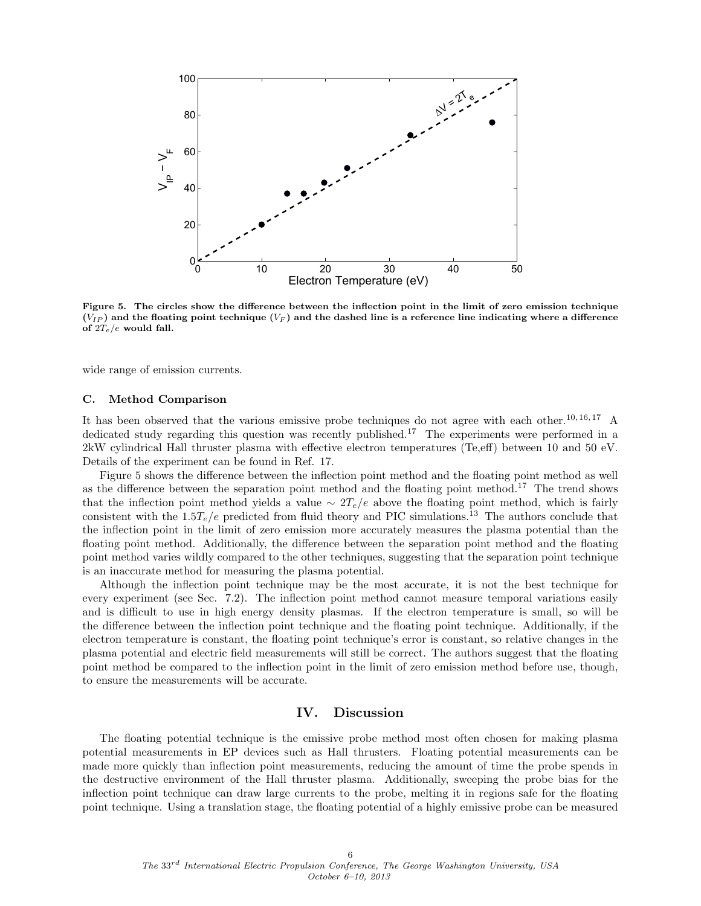

Figure 5. The circles show the difference between the inflection point in the limit of zero emission technique  $(V_{IP})$  and the floating point technique  $(V_F)$  and the dashed line is a reference line indicating where a difference of  $2T_e/e$  would fall.

wide range of emission currents.

## C. Method Comparison

It has been observed that the various emissive probe techniques do not agree with each other.10, 16, 17 A dedicated study regarding this question was recently published.<sup>17</sup> The experiments were performed in a 2kW cylindrical Hall thruster plasma with effective electron temperatures (Te,eff) between 10 and 50 eV. Details of the experiment can be found in Ref. 17.

Figure 5 shows the difference between the inflection point method and the floating point method as well as the difference between the separation point method and the floating point method.<sup>17</sup> The trend shows that the inflection point method yields a value  $\sim 2T_e/e$  above the floating point method, which is fairly consistent with the  $1.5T_e/e$  predicted from fluid theory and PIC simulations.<sup>13</sup> The authors conclude that the inflection point in the limit of zero emission more accurately measures the plasma potential than the floating point method. Additionally, the difference between the separation point method and the floating point method varies wildly compared to the other techniques, suggesting that the separation point technique is an inaccurate method for measuring the plasma potential.

Although the inflection point technique may be the most accurate, it is not the best technique for every experiment (see Sec. 7.2). The inflection point method cannot measure temporal variations easily and is difficult to use in high energy density plasmas. If the electron temperature is small, so will be the difference between the inflection point technique and the floating point technique. Additionally, if the electron temperature is constant, the floating point technique's error is constant, so relative changes in the plasma potential and electric field measurements will still be correct. The authors suggest that the floating point method be compared to the inflection point in the limit of zero emission method before use, though, to ensure the measurements will be accurate.

## IV. Discussion

The floating potential technique is the emissive probe method most often chosen for making plasma potential measurements in EP devices such as Hall thrusters. Floating potential measurements can be made more quickly than inflection point measurements, reducing the amount of time the probe spends in the destructive environment of the Hall thruster plasma. Additionally, sweeping the probe bias for the inflection point technique can draw large currents to the probe, melting it in regions safe for the floating point technique. Using a translation stage, the floating potential of a highly emissive probe can be measured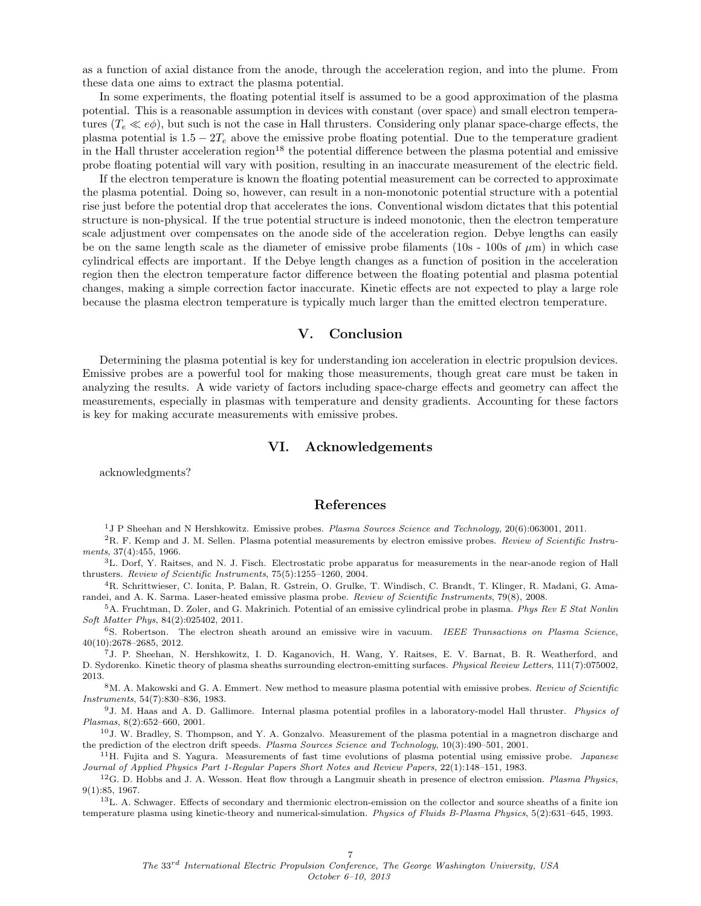as a function of axial distance from the anode, through the acceleration region, and into the plume. From these data one aims to extract the plasma potential.

In some experiments, the floating potential itself is assumed to be a good approximation of the plasma potential. This is a reasonable assumption in devices with constant (over space) and small electron temperatures  $(T_e \ll e\phi)$ , but such is not the case in Hall thrusters. Considering only planar space-charge effects, the plasma potential is  $1.5 - 2T_e$  above the emissive probe floating potential. Due to the temperature gradient in the Hall thruster acceleration region<sup>18</sup> the potential difference between the plasma potential and emissive probe floating potential will vary with position, resulting in an inaccurate measurement of the electric field.

If the electron temperature is known the floating potential measurement can be corrected to approximate the plasma potential. Doing so, however, can result in a non-monotonic potential structure with a potential rise just before the potential drop that accelerates the ions. Conventional wisdom dictates that this potential structure is non-physical. If the true potential structure is indeed monotonic, then the electron temperature scale adjustment over compensates on the anode side of the acceleration region. Debye lengths can easily be on the same length scale as the diameter of emissive probe filaments (10s - 100s of  $\mu$ m) in which case cylindrical effects are important. If the Debye length changes as a function of position in the acceleration region then the electron temperature factor difference between the floating potential and plasma potential changes, making a simple correction factor inaccurate. Kinetic effects are not expected to play a large role because the plasma electron temperature is typically much larger than the emitted electron temperature.

## V. Conclusion

Determining the plasma potential is key for understanding ion acceleration in electric propulsion devices. Emissive probes are a powerful tool for making those measurements, though great care must be taken in analyzing the results. A wide variety of factors including space-charge effects and geometry can affect the measurements, especially in plasmas with temperature and density gradients. Accounting for these factors is key for making accurate measurements with emissive probes.

# VI. Acknowledgements

acknowledgments?

### References

<sup>1</sup>J P Sheehan and N Hershkowitz. Emissive probes. Plasma Sources Science and Technology, 20(6):063001, 2011.

<sup>2</sup>R. F. Kemp and J. M. Sellen. Plasma potential measurements by electron emissive probes. Review of Scientific Instruments, 37(4):455, 1966.

<sup>3</sup>L. Dorf, Y. Raitses, and N. J. Fisch. Electrostatic probe apparatus for measurements in the near-anode region of Hall thrusters. Review of Scientific Instruments, 75(5):1255–1260, 2004.

<sup>4</sup>R. Schrittwieser, C. Ionita, P. Balan, R. Gstrein, O. Grulke, T. Windisch, C. Brandt, T. Klinger, R. Madani, G. Amarandei, and A. K. Sarma. Laser-heated emissive plasma probe. Review of Scientific Instruments, 79(8), 2008.

 $5A$ . Fruchtman, D. Zoler, and G. Makrinich. Potential of an emissive cylindrical probe in plasma. Phys Rev E Stat Nonlin Soft Matter Phys, 84(2):025402, 2011.

<sup>6</sup>S. Robertson. The electron sheath around an emissive wire in vacuum. IEEE Transactions on Plasma Science, 40(10):2678–2685, 2012.

<sup>7</sup>J. P. Sheehan, N. Hershkowitz, I. D. Kaganovich, H. Wang, Y. Raitses, E. V. Barnat, B. R. Weatherford, and D. Sydorenko. Kinetic theory of plasma sheaths surrounding electron-emitting surfaces. Physical Review Letters, 111(7):075002, 2013.

8M. A. Makowski and G. A. Emmert. New method to measure plasma potential with emissive probes. Review of Scientific Instruments, 54(7):830–836, 1983.

<sup>9</sup>J. M. Haas and A. D. Gallimore. Internal plasma potential profiles in a laboratory-model Hall thruster. Physics of Plasmas, 8(2):652–660, 2001.

 $10$ J. W. Bradley, S. Thompson, and Y. A. Gonzalvo. Measurement of the plasma potential in a magnetron discharge and the prediction of the electron drift speeds. Plasma Sources Science and Technology, 10(3):490–501, 2001.

 $11$ H. Fujita and S. Yagura. Measurements of fast time evolutions of plasma potential using emissive probe. *Japanese* Journal of Applied Physics Part 1-Regular Papers Short Notes and Review Papers, 22(1):148–151, 1983.

 $12$ G. D. Hobbs and J. A. Wesson. Heat flow through a Langmuir sheath in presence of electron emission. Plasma Physics, 9(1):85, 1967.

<sup>13</sup>L. A. Schwager. Effects of secondary and thermionic electron-emission on the collector and source sheaths of a finite ion temperature plasma using kinetic-theory and numerical-simulation. Physics of Fluids B-Plasma Physics, 5(2):631–645, 1993.